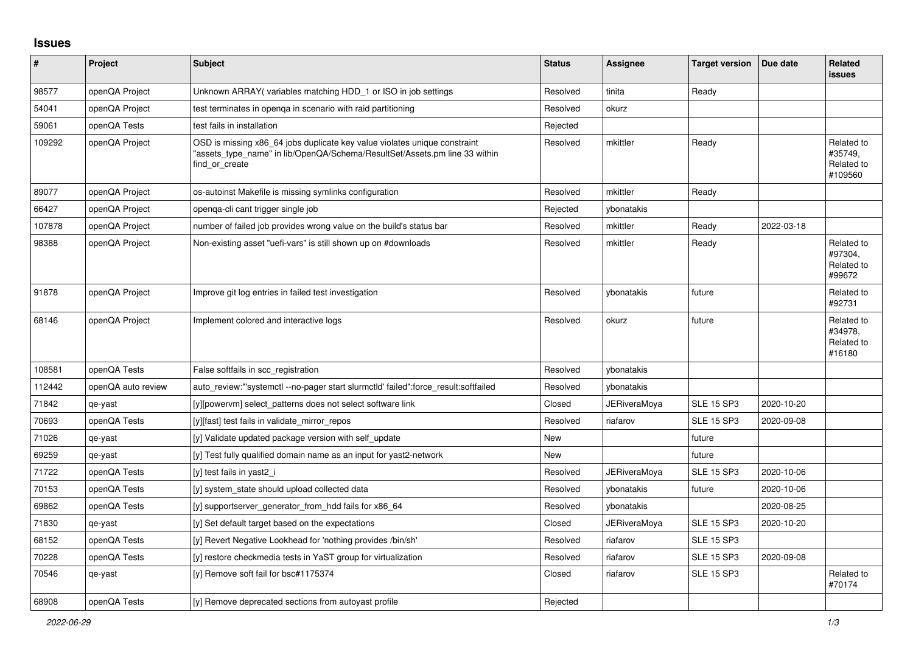## **Issues**

| ∦      | Project            | Subject                                                                                                                                                                   | <b>Status</b> | Assignee            | <b>Target version</b> | Due date   | Related<br><b>issues</b>                       |
|--------|--------------------|---------------------------------------------------------------------------------------------------------------------------------------------------------------------------|---------------|---------------------|-----------------------|------------|------------------------------------------------|
| 98577  | openQA Project     | Unknown ARRAY (variables matching HDD 1 or ISO in job settings                                                                                                            | Resolved      | tinita              | Ready                 |            |                                                |
| 54041  | openQA Project     | test terminates in openga in scenario with raid partitioning                                                                                                              | Resolved      | okurz               |                       |            |                                                |
| 59061  | openQA Tests       | test fails in installation                                                                                                                                                | Rejected      |                     |                       |            |                                                |
| 109292 | openQA Project     | OSD is missing x86_64 jobs duplicate key value violates unique constraint<br>"assets type name" in lib/OpenQA/Schema/ResultSet/Assets.pm line 33 within<br>find or create | Resolved      | mkittler            | Ready                 |            | Related to<br>#35749,<br>Related to<br>#109560 |
| 89077  | openQA Project     | os-autoinst Makefile is missing symlinks configuration                                                                                                                    | Resolved      | mkittler            | Ready                 |            |                                                |
| 66427  | openQA Project     | openqa-cli cant trigger single job                                                                                                                                        | Rejected      | ybonatakis          |                       |            |                                                |
| 107878 | openQA Project     | number of failed job provides wrong value on the build's status bar                                                                                                       | Resolved      | mkittler            | Ready                 | 2022-03-18 |                                                |
| 98388  | openQA Project     | Non-existing asset "uefi-vars" is still shown up on #downloads                                                                                                            | Resolved      | mkittler            | Ready                 |            | Related to<br>#97304,<br>Related to<br>#99672  |
| 91878  | openQA Project     | Improve git log entries in failed test investigation                                                                                                                      | Resolved      | ybonatakis          | future                |            | Related to<br>#92731                           |
| 68146  | openQA Project     | Implement colored and interactive logs                                                                                                                                    | Resolved      | okurz               | future                |            | Related to<br>#34978,<br>Related to<br>#16180  |
| 108581 | openQA Tests       | False softfails in scc registration                                                                                                                                       | Resolved      | ybonatakis          |                       |            |                                                |
| 112442 | openQA auto review | auto review:"'systemctl--no-pager start slurmctld' failed":force result:softfailed                                                                                        | Resolved      | ybonatakis          |                       |            |                                                |
| 71842  | qe-yast            | [y][powervm] select_patterns does not select software link                                                                                                                | Closed        | <b>JERiveraMova</b> | <b>SLE 15 SP3</b>     | 2020-10-20 |                                                |
| 70693  | openQA Tests       | [y][fast] test fails in validate mirror repos                                                                                                                             | Resolved      | riafarov            | <b>SLE 15 SP3</b>     | 2020-09-08 |                                                |
| 71026  | qe-yast            | [y] Validate updated package version with self update                                                                                                                     | <b>New</b>    |                     | future                |            |                                                |
| 69259  | qe-yast            | [y] Test fully qualified domain name as an input for yast2-network                                                                                                        | New           |                     | future                |            |                                                |
| 71722  | openQA Tests       | [y] test fails in yast2 i                                                                                                                                                 | Resolved      | <b>JERiveraMoya</b> | <b>SLE 15 SP3</b>     | 2020-10-06 |                                                |
| 70153  | openQA Tests       | [y] system state should upload collected data                                                                                                                             | Resolved      | ybonatakis          | future                | 2020-10-06 |                                                |
| 69862  | openQA Tests       | [y] supportserver generator from hdd fails for x86 64                                                                                                                     | Resolved      | ybonatakis          |                       | 2020-08-25 |                                                |
| 71830  | qe-yast            | [y] Set default target based on the expectations                                                                                                                          | Closed        | <b>JERiveraMoya</b> | <b>SLE 15 SP3</b>     | 2020-10-20 |                                                |
| 68152  | openQA Tests       | [y] Revert Negative Lookhead for 'nothing provides /bin/sh'                                                                                                               | Resolved      | riafarov            | <b>SLE 15 SP3</b>     |            |                                                |
| 70228  | openQA Tests       | [y] restore checkmedia tests in YaST group for virtualization                                                                                                             | Resolved      | riafarov            | <b>SLE 15 SP3</b>     | 2020-09-08 |                                                |
| 70546  | qe-yast            | [y] Remove soft fail for bsc#1175374                                                                                                                                      | Closed        | riafarov            | <b>SLE 15 SP3</b>     |            | Related to<br>#70174                           |
| 68908  | openQA Tests       | [y] Remove deprecated sections from autovast profile                                                                                                                      | Rejected      |                     |                       |            |                                                |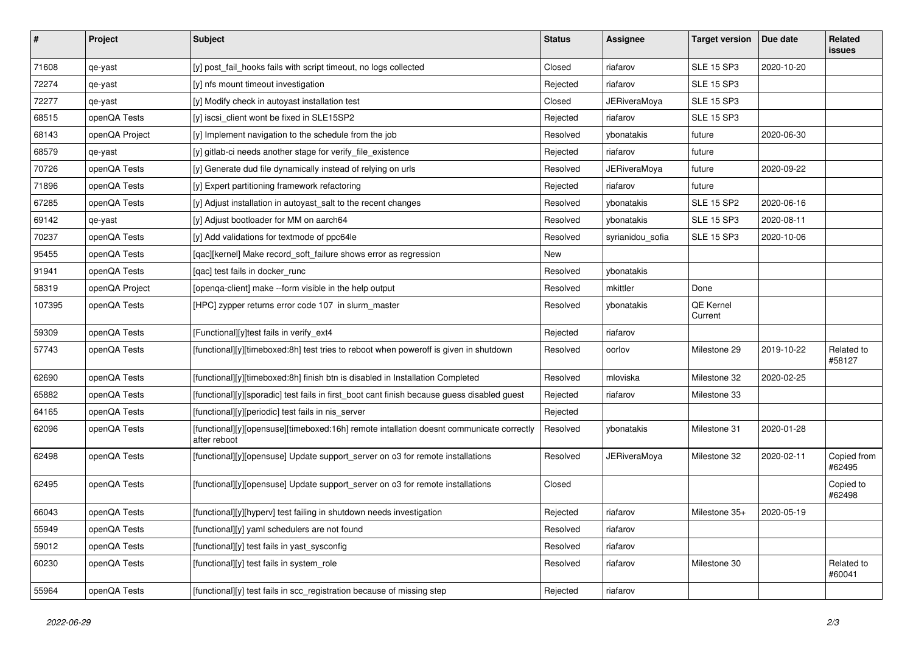| $\sharp$ | Project        | Subject                                                                                                  | <b>Status</b> | <b>Assignee</b>     | <b>Target version</b> | Due date   | Related<br>issues     |
|----------|----------------|----------------------------------------------------------------------------------------------------------|---------------|---------------------|-----------------------|------------|-----------------------|
| 71608    | qe-yast        | [y] post_fail_hooks fails with script timeout, no logs collected                                         | Closed        | riafarov            | <b>SLE 15 SP3</b>     | 2020-10-20 |                       |
| 72274    | qe-yast        | [y] nfs mount timeout investigation                                                                      | Rejected      | riafarov            | <b>SLE 15 SP3</b>     |            |                       |
| 72277    | qe-yast        | [y] Modify check in autoyast installation test                                                           | Closed        | <b>JERiveraMoya</b> | <b>SLE 15 SP3</b>     |            |                       |
| 68515    | openQA Tests   | [y] iscsi_client wont be fixed in SLE15SP2                                                               | Rejected      | riafarov            | <b>SLE 15 SP3</b>     |            |                       |
| 68143    | openQA Project | [y] Implement navigation to the schedule from the job                                                    | Resolved      | ybonatakis          | future                | 2020-06-30 |                       |
| 68579    | qe-yast        | [y] gitlab-ci needs another stage for verify_file_existence                                              | Rejected      | riafarov            | future                |            |                       |
| 70726    | openQA Tests   | [y] Generate dud file dynamically instead of relying on urls                                             | Resolved      | <b>JERiveraMoya</b> | future                | 2020-09-22 |                       |
| 71896    | openQA Tests   | [y] Expert partitioning framework refactoring                                                            | Rejected      | riafarov            | future                |            |                       |
| 67285    | openQA Tests   | [y] Adjust installation in autoyast_salt to the recent changes                                           | Resolved      | ybonatakis          | <b>SLE 15 SP2</b>     | 2020-06-16 |                       |
| 69142    | qe-yast        | [y] Adjust bootloader for MM on aarch64                                                                  | Resolved      | ybonatakis          | <b>SLE 15 SP3</b>     | 2020-08-11 |                       |
| 70237    | openQA Tests   | [y] Add validations for textmode of ppc64le                                                              | Resolved      | syrianidou_sofia    | <b>SLE 15 SP3</b>     | 2020-10-06 |                       |
| 95455    | openQA Tests   | [qac][kernel] Make record_soft_failure shows error as regression                                         | New           |                     |                       |            |                       |
| 91941    | openQA Tests   | [qac] test fails in docker_runc                                                                          | Resolved      | ybonatakis          |                       |            |                       |
| 58319    | openQA Project | [openqa-client] make --form visible in the help output                                                   | Resolved      | mkittler            | Done                  |            |                       |
| 107395   | openQA Tests   | [HPC] zypper returns error code 107 in slurm master                                                      | Resolved      | ybonatakis          | QE Kernel<br>Current  |            |                       |
| 59309    | openQA Tests   | [Functional][y]test fails in verify_ext4                                                                 | Rejected      | riafarov            |                       |            |                       |
| 57743    | openQA Tests   | [functional][y][timeboxed:8h] test tries to reboot when poweroff is given in shutdown                    | Resolved      | oorlov              | Milestone 29          | 2019-10-22 | Related to<br>#58127  |
| 62690    | openQA Tests   | [functional][y][timeboxed:8h] finish btn is disabled in Installation Completed                           | Resolved      | mloviska            | Milestone 32          | 2020-02-25 |                       |
| 65882    | openQA Tests   | [functional][y][sporadic] test fails in first_boot cant finish because guess disabled guest              | Rejected      | riafarov            | Milestone 33          |            |                       |
| 64165    | openQA Tests   | [functional][y][periodic] test fails in nis_server                                                       | Rejected      |                     |                       |            |                       |
| 62096    | openQA Tests   | [functional][y][opensuse][timeboxed:16h] remote intallation doesnt communicate correctly<br>after reboot | Resolved      | ybonatakis          | Milestone 31          | 2020-01-28 |                       |
| 62498    | openQA Tests   | [functional][y][opensuse] Update support_server on o3 for remote installations                           | Resolved      | <b>JERiveraMoya</b> | Milestone 32          | 2020-02-11 | Copied from<br>#62495 |
| 62495    | openQA Tests   | [functional][y][opensuse] Update support_server on o3 for remote installations                           | Closed        |                     |                       |            | Copied to<br>#62498   |
| 66043    | openQA Tests   | [functional][y][hyperv] test failing in shutdown needs investigation                                     | Rejected      | riafarov            | Milestone 35+         | 2020-05-19 |                       |
| 55949    | openQA Tests   | [functional][y] yaml schedulers are not found                                                            | Resolved      | riafarov            |                       |            |                       |
| 59012    | openQA Tests   | [functional][y] test fails in yast sysconfig                                                             | Resolved      | riafarov            |                       |            |                       |
| 60230    | openQA Tests   | [functional][y] test fails in system_role                                                                | Resolved      | riafarov            | Milestone 30          |            | Related to<br>#60041  |
| 55964    | openQA Tests   | [functional][y] test fails in scc_registration because of missing step                                   | Rejected      | riafarov            |                       |            |                       |